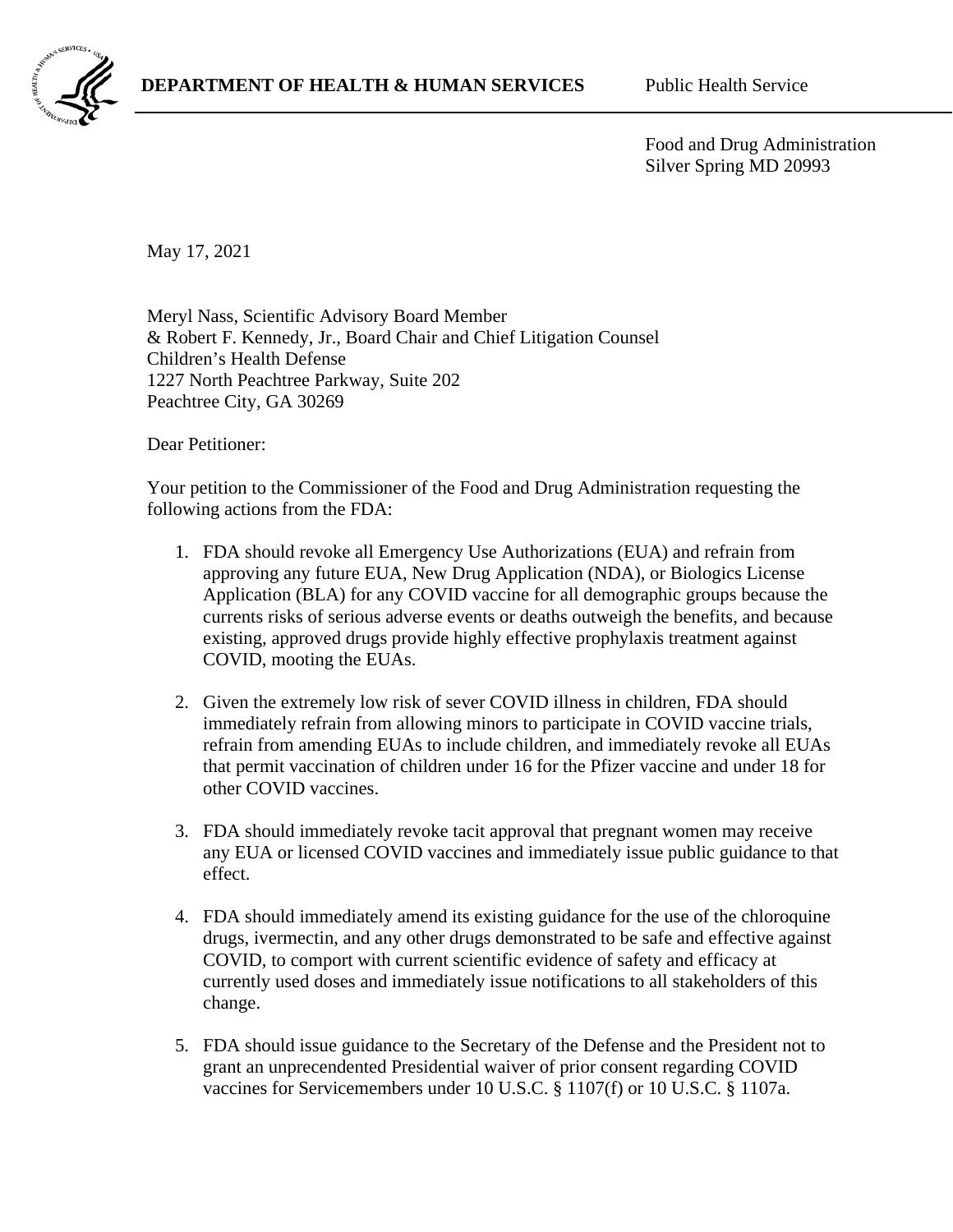

Food and Drug Administration Silver Spring MD 20993

May 17, 2021

Meryl Nass, Scientific Advisory Board Member & Robert F. Kennedy, Jr., Board Chair and Chief Litigation Counsel Children's Health Defense 1227 North Peachtree Parkway, Suite 202 Peachtree City, GA 30269

Dear Petitioner:

Your petition to the Commissioner of the Food and Drug Administration requesting the following actions from the FDA:

- 1. FDA should revoke all Emergency Use Authorizations (EUA) and refrain from approving any future EUA, New Drug Application (NDA), or Biologics License Application (BLA) for any COVID vaccine for all demographic groups because the currents risks of serious adverse events or deaths outweigh the benefits, and because existing, approved drugs provide highly effective prophylaxis treatment against COVID, mooting the EUAs.
- 2. Given the extremely low risk of sever COVID illness in children, FDA should immediately refrain from allowing minors to participate in COVID vaccine trials, refrain from amending EUAs to include children, and immediately revoke all EUAs that permit vaccination of children under 16 for the Pfizer vaccine and under 18 for other COVID vaccines.
- 3. FDA should immediately revoke tacit approval that pregnant women may receive any EUA or licensed COVID vaccines and immediately issue public guidance to that effect.
- 4. FDA should immediately amend its existing guidance for the use of the chloroquine drugs, ivermectin, and any other drugs demonstrated to be safe and effective against COVID, to comport with current scientific evidence of safety and efficacy at currently used doses and immediately issue notifications to all stakeholders of this change.
- 5. FDA should issue guidance to the Secretary of the Defense and the President not to grant an unprecendented Presidential waiver of prior consent regarding COVID vaccines for Servicemembers under 10 U.S.C. § 1107(f) or 10 U.S.C. § 1107a.